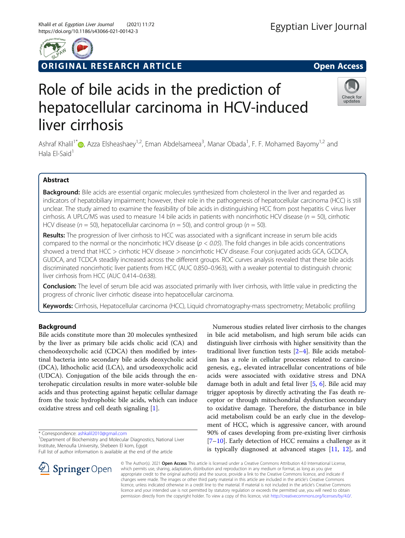# ORIGINAL RESEARCH ARTICLE **External of the Second Access**

# Role of bile acids in the prediction of hepatocellular carcinoma in HCV-induced liver cirrhosis

Ashraf Khalil<sup>1[\\*](http://orcid.org/0000-0001-5307-241X)</sup> (@, Azza Elsheashaey<sup>1,2</sup>, Eman Abdelsameea<sup>3</sup>, Manar Obada<sup>1</sup>, F. F. Mohamed Bayomy<sup>1,2</sup> and Hala El-Said $<sup>1</sup>$ </sup>

# Abstract

Background: Bile acids are essential organic molecules synthesized from cholesterol in the liver and regarded as indicators of hepatobiliary impairment; however, their role in the pathogenesis of hepatocellular carcinoma (HCC) is still unclear. The study aimed to examine the feasibility of bile acids in distinguishing HCC from post hepatitis C virus liver cirrhosis. A UPLC/MS was used to measure 14 bile acids in patients with noncirrhotic HCV disease ( $n = 50$ ), cirrhotic HCV disease ( $n = 50$ ), hepatocellular carcinoma ( $n = 50$ ), and control group ( $n = 50$ ).

Results: The progression of liver cirrhosis to HCC was associated with a significant increase in serum bile acids compared to the normal or the noncirrhotic HCV disease ( $p < 0.05$ ). The fold changes in bile acids concentrations showed a trend that HCC > cirrhotic HCV disease > noncirrhotic HCV disease. Four conjugated acids GCA, GCDCA, GUDCA, and TCDCA steadily increased across the different groups. ROC curves analysis revealed that these bile acids discriminated noncirrhotic liver patients from HCC (AUC 0.850–0.963), with a weaker potential to distinguish chronic liver cirrhosis from HCC (AUC 0.414–0.638).

**Conclusion:** The level of serum bile acid was associated primarily with liver cirrhosis, with little value in predicting the progress of chronic liver cirrhotic disease into hepatocellular carcinoma.

Keywords: Cirrhosis, Hepatocellular carcinoma (HCC), Liquid chromatography-mass spectrometry; Metabolic profiling

# Background

Bile acids constitute more than 20 molecules synthesized by the liver as primary bile acids cholic acid (CA) and chenodeoxycholic acid (CDCA) then modified by intestinal bacteria into secondary bile acids deoxycholic acid (DCA), lithocholic acid (LCA), and ursodeoxycholic acid (UDCA). Conjugation of the bile acids through the enterohepatic circulation results in more water-soluble bile acids and thus protecting against hepatic cellular damage from the toxic hydrophobic bile acids, which can induce oxidative stress and cell death signaling [\[1](#page-7-0)].

\* Correspondence: [ashkalil2010@gmail.com](mailto:ashkalil2010@gmail.com) <sup>1</sup>

<sup>1</sup> Department of Biochemistry and Molecular Diagnostics, National Liver Institute, Menoufia University, Shebeen El kom, Egypt

Full list of author information is available at the end of the article

distinguish liver cirrhosis with higher sensitivity than the traditional liver function tests [[2](#page-7-0)–[4](#page-7-0)]. Bile acids metabolism has a role in cellular processes related to carcinogenesis, e.g., elevated intracellular concentrations of bile acids were associated with oxidative stress and DNA damage both in adult and fetal liver [\[5](#page-7-0), [6\]](#page-7-0). Bile acid may trigger apoptosis by directly activating the Fas death receptor or through mitochondrial dysfunction secondary to oxidative damage. Therefore, the disturbance in bile acid metabolism could be an early clue in the development of HCC, which is aggressive cancer, with around 90% of cases developing from pre-existing liver cirrhosis [[7](#page-7-0)–[10\]](#page-7-0). Early detection of HCC remains a challenge as it is typically diagnosed at advanced stages [[11,](#page-7-0) [12](#page-7-0)], and

Numerous studies related liver cirrhosis to the changes in bile acid metabolism, and high serum bile acids can

© The Author(s). 2021 Open Access This article is licensed under a Creative Commons Attribution 4.0 International License, which permits use, sharing, adaptation, distribution and reproduction in any medium or format, as long as you give appropriate credit to the original author(s) and the source, provide a link to the Creative Commons licence, and indicate if changes were made. The images or other third party material in this article are included in the article's Creative Commons licence, unless indicated otherwise in a credit line to the material. If material is not included in the article's Creative Commons licence and your intended use is not permitted by statutory regulation or exceeds the permitted use, you will need to obtain permission directly from the copyright holder. To view a copy of this licence, visit <http://creativecommons.org/licenses/by/4.0/>.



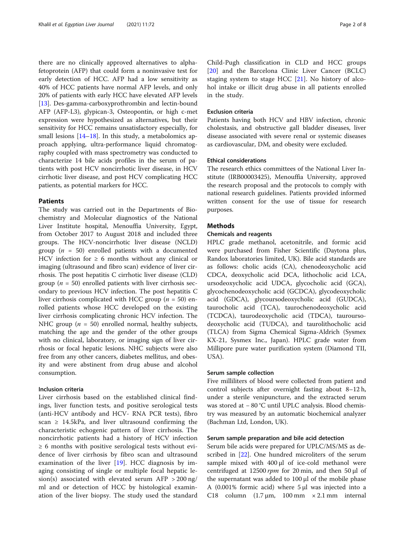there are no clinically approved alternatives to alphafetoprotein (AFP) that could form a noninvasive test for early detection of HCC. AFP had a low sensitivity as 40% of HCC patients have normal AFP levels, and only 20% of patients with early HCC have elevated AFP levels [[13\]](#page-7-0). Des-gamma-carboxyprothrombin and lectin-bound AFP (AFP-L3), glypican-3, Osteopontin, or high c-met expression were hypothesized as alternatives, but their sensitivity for HCC remains unsatisfactory especially, for small lesions [\[14](#page-7-0)–[18\]](#page-7-0). In this study, a metabolomics approach applying, ultra-performance liquid chromatography coupled with mass spectrometry was conducted to characterize 14 bile acids profiles in the serum of patients with post HCV noncirrhotic liver disease, in HCV cirrhotic liver disease, and post HCV complicating HCC patients, as potential markers for HCC.

# Patients

The study was carried out in the Departments of Biochemistry and Molecular diagnostics of the National Liver Institute hospital, Menouffia University, Egypt, from October 2017 to August 2018 and included three groups. The HCV-noncirrhotic liver disease (NCLD) group ( $n = 50$ ) enrolled patients with a documented HCV infection for  $\geq 6$  months without any clinical or imaging (ultrasound and fibro scan) evidence of liver cirrhosis. The post hepatitis C cirrhotic liver disease (CLD) group ( $n = 50$ ) enrolled patients with liver cirrhosis secondary to previous HCV infection. The post hepatitis C liver cirrhosis complicated with HCC group ( $n = 50$ ) enrolled patients whose HCC developed on the existing liver cirrhosis complicating chronic HCV infection. The NHC group ( $n = 50$ ) enrolled normal, healthy subjects, matching the age and the gender of the other groups with no clinical, laboratory, or imaging sign of liver cirrhosis or focal hepatic lesions. NHC subjects were also free from any other cancers, diabetes mellitus, and obesity and were abstinent from drug abuse and alcohol consumption.

# Inclusion criteria

Liver cirrhosis based on the established clinical findings, liver function tests, and positive serological tests (anti-HCV antibody and HCV- RNA PCR tests), fibro scan  $\geq$  14.5kPa, and liver ultrasound confirming the characteristic echogenic pattern of liver cirrhosis. The noncirrhotic patients had a history of HCV infection  $\geq 6$  months with positive serological tests without evidence of liver cirrhosis by fibro scan and ultrasound examination of the liver [[19](#page-7-0)]. HCC diagnosis by imaging consisting of single or multiple focal hepatic lesion(s) associated with elevated serum AFP  $>$  200 ng/ ml and or detection of HCC by histological examination of the liver biopsy. The study used the standard

Child-Pugh classification in CLD and HCC groups [[20\]](#page-7-0) and the Barcelona Clinic Liver Cancer (BCLC) staging system to stage HCC [[21\]](#page-7-0). No history of alcohol intake or illicit drug abuse in all patients enrolled in the study.

# Exclusion criteria

Patients having both HCV and HBV infection, chronic cholestasis, and obstructive gall bladder diseases, liver disease associated with severe renal or systemic diseases as cardiovascular, DM, and obesity were excluded.

# Ethical considerations

The research ethics committees of the National Liver Institute (IRB00003425), Menouffia University, approved the research proposal and the protocols to comply with national research guidelines. Patients provided informed written consent for the use of tissue for research purposes.

# Methods

# Chemicals and reagents

HPLC grade methanol, acetonitrile, and formic acid were purchased from Fisher Scientific (Daytona plus, Randox laboratories limited, UK). Bile acid standards are as follows: cholic acids (CA), chenodeoxycholic acid CDCA, deoxycholic acid DCA, lithocholic acid LCA, ursodeoxycholic acid UDCA, glycocholic acid (GCA), glycochenodeoxycholic acid (GCDCA), glycodeoxycholic acid (GDCA), glycoursodeoxycholic acid (GUDCA), taurocholic acid (TCA), taurochenodeoxycholic acid (TCDCA), taurodeoxycholic acid (TDCA), tauroursodeoxycholic acid (TUDCA), and taurolithocholic acid (TLCA) from Sigma Chemical Sigma-Aldrich (Sysmex KX-21, Sysmex Inc., Japan). HPLC grade water from Millipore pure water purification system (Diamond TII, USA).

# Serum sample collection

Five milliliters of blood were collected from patient and control subjects after overnight fasting about 8–12 h, under a sterile venipuncture, and the extracted serum was stored at − 80 °C until UPLC analysis. Blood chemistry was measured by an automatic biochemical analyzer (Bachman Ltd, London, UK).

# Serum sample preparation and bile acid detection

Serum bile acids were prepared for UPLC/MS/MS as described in [\[22\]](#page-7-0). One hundred microliters of the serum sample mixed with 400 μl of ice-cold methanol were centrifuged at 12500 rpm for 20 min, and then 50  $\mu$ l of the supernatant was added to 100 μl of the mobile phase A (0.001% formic acid) where 5 μl was injected into a C18 column  $(1.7 \,\mu\text{m}, 100 \,\text{mm} \times 2.1 \,\text{mm}$  internal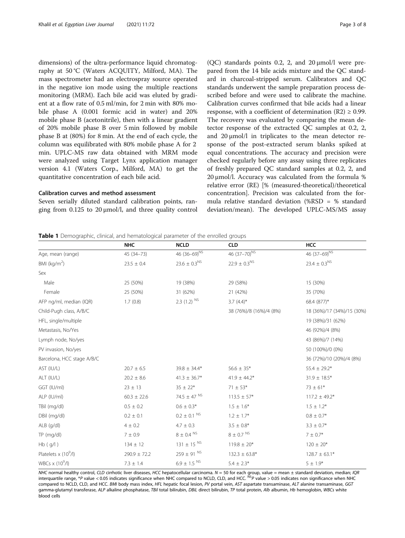<span id="page-2-0"></span>dimensions) of the ultra-performance liquid chromatography at 50 °C (Waters ACQUITY, Milford, MA). The mass spectrometer had an electrospray source operated in the negative ion mode using the multiple reactions monitoring (MRM). Each bile acid was eluted by gradient at a flow rate of 0.5 ml/min, for 2 min with 80% mobile phase A (0.001 formic acid in water) and 20% mobile phase B (acetonitrile), then with a linear gradient of 20% mobile phase B over 5 min followed by mobile phase B at (80%) for 8 min. At the end of each cycle, the column was equilibrated with 80% mobile phase A for 2 min. UPLC-MS raw data obtained with MRM mode were analyzed using Target Lynx application manager version 4.1 (Waters Corp., Milford, MA) to get the quantitative concentration of each bile acid.

# Calibration curves and method assessment

Seven serially diluted standard calibration points, ranging from  $0.125$  to  $20 \mu$ mol/l, and three quality control

(QC) standards points 0.2, 2, and 20  $\mu$ mol/l were prepared from the 14 bile acids mixture and the QC standard in charcoal-stripped serum. Calibrators and QC standards underwent the sample preparation process described before and were used to calibrate the machine. Calibration curves confirmed that bile acids had a linear response, with a coefficient of determination  $(R2) \ge 0.99$ . The recovery was evaluated by comparing the mean detector response of the extracted QC samples at 0.2, 2, and 20 μmol/l in triplicates to the mean detector response of the post-extracted serum blanks spiked at equal concentrations. The accuracy and precision were checked regularly before any assay using three replicates of freshly prepared QC standard samples at 0.2, 2, and 20 μmol/l. Accuracy was calculated from the formula % relative error (RE) [% (measured-theoretical)/theoretical concentration]. Precision was calculated from the formula relative standard deviation (%RSD = % standard deviation/mean). The developed UPLC-MS/MS assay

#### **Table 1** Demographic, clinical, and hematological parameter of the enrolled groups

| <b>NHC</b>       | <b>NCLD</b>                 | <b>CLD</b>               | HCC                        |
|------------------|-----------------------------|--------------------------|----------------------------|
| 45 (34-73)       | 46 (36-69) <sup>NS</sup>    | 46 (37-70) <sup>NS</sup> | 46 (37-69) <sup>NS</sup>   |
| $23.5 \pm 0.4$   | $23.6 \pm 0.3^{\rm NS}$     | $22.9 \pm 0.3^{NS}$      | $23.4 \pm 0.3^{NS}$        |
|                  |                             |                          |                            |
| 25 (50%)         | 19 (38%)                    | 29 (58%)                 | 15 (30%)                   |
| 25 (50%)         | 31 (62%)                    | 21 (42%)                 | 35 (70%)                   |
| 1.7(0.8)         | $2.3(1.2)^{NS}$             | $3.7(4.4)^*$             | 68.4 (877)*                |
|                  |                             | 38 (76%)/8 (16%)/4 (8%)  | 18 (36%)/17 (34%)/15 (30%) |
|                  |                             |                          | 19 (38%)/31 (62%)          |
|                  |                             |                          | 46 (92%)/4 (8%)            |
|                  |                             |                          | 43 (86%)/7 (14%)           |
|                  |                             |                          | 50 (100%)/0 (0%)           |
|                  |                             |                          | 36 (72%)/10 (20%)/4 (8%)   |
| $20.7 \pm 6.5$   | $39.8 \pm 34.4*$            | $56.6 \pm 35*$           | $55.4 \pm 29.2*$           |
| $20.2 \pm 8.6$   | $41.3 \pm 36.7*$            | $41.9 \pm 44.2*$         | $31.9 \pm 18.5*$           |
| $23 \pm 13$      | $35 \pm 22*$                | $71 \pm 53*$             | $73 \pm 61*$               |
| $60.3 \pm 22.6$  | 74.5 $\pm$ 47 <sup>NS</sup> | $113.5 \pm 57*$          | $117.2 \pm 49.2*$          |
| $0.5 \pm 0.2$    | $0.6 \pm 0.3*$              | $1.5 \pm 1.6*$           | $1.5 \pm 1.2*$             |
| $0.2 \pm 0.1$    | $0.2 \pm 0.1$ <sup>NS</sup> | $1.2 \pm 1.7*$           | $0.8 \pm 0.7$ *            |
| $4 \pm 0.2$      | $4.7 \pm 0.3$               | $3.5 \pm 0.8*$           | $3.3 \pm 0.7*$             |
| $7\pm0.9$        | $8 \pm 0.4$ NS              | $8 \pm 0.7$ NS           | $7 \pm 0.7*$               |
| $134 \pm 12$     | $131 \pm 15$ <sup>NS</sup>  | $119.8 \pm 20*$          | $120 \pm 20*$              |
| $290.9 \pm 72.2$ | $259 \pm 91$ <sup>NS</sup>  | $132.3 \pm 63.8*$        | $128.7 \pm 63.1*$          |
| $7.3 \pm 1.4$    | $6.9 \pm 1.5$ NS            | $5.4 \pm 2.3*$           | $5 \pm 1.9^*$              |
|                  |                             |                          |                            |

NHC normal healthy control, CLD cirrhotic liver diseases, HCC hepatocellular carcinoma. N = 50 for each group, value = mean ± standard deviation, median; IQR<br>interquartile range, \*P value < 0.05 indicates significance when compared to NCLD, CLD, and HCC. BMI body mass index, HFL hepatic focal lesion, PV portal vein, AST aspartate transaminase, ALT alanine transaminase, GGT gamma-glutamyl transferase, ALP alkaline phosphatase, TBil total bilirubin, DBiL direct bilirubin, TP total protein, Alb albumin, Hb hemoglobin, WBCs white blood cells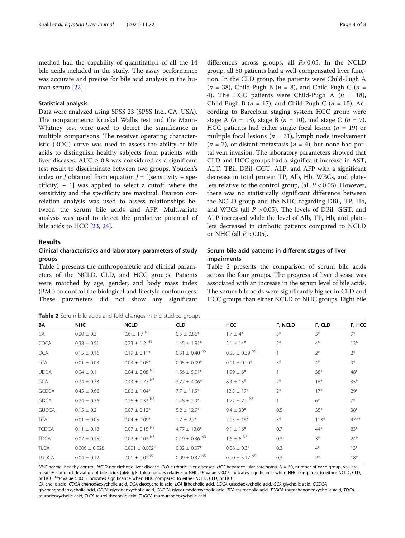method had the capability of quantitation of all the 14 bile acids included in the study. The assay performance was accurate and precise for bile acid analysis in the human serum [\[22\]](#page-7-0).

# Statistical analysis

Data were analyzed using SPSS 23 (SPSS Inc., CA, USA). The nonparametric Kruskal Wallis test and the Mann-Whitney test were used to detect the significance in multiple comparisons. The receiver operating characteristic (ROC) curve was used to assess the ability of bile acids to distinguish healthy subjects from patients with liver diseases. AUC  $\geq$  0.8 was considered as a significant test result to discriminate between two groups. Youden's index or *J* obtained from equation  $J = [(sensitivity + spe$ cificity) − 1] was applied to select a cutoff, where the sensitivity and the specificity are maximal. Pearson correlation analysis was used to assess relationships between the serum bile acids and AFP. Multivariate analysis was used to detect the predictive potential of bile acids to HCC [[23,](#page-7-0) [24](#page-7-0)].

# Results

# Clinical characteristics and laboratory parameters of study groups

Table [1](#page-2-0) presents the anthropometric and clinical parameters of the NCLD, CLD, and HCC groups. Patients were matched by age, gender, and body mass index (BMI) to control the biological and lifestyle confounders. These parameters did not show any significant

Table 2 Serum bile acids and fold changes in the studied groups

differences across groups, all  $P > 0.05$ . In the NCLD group, all 50 patients had a well-compensated liver function. In the CLD group, the patients were Child-Pugh A  $(n = 38)$ , Child-Pugh B  $(n = 8)$ , and Child-Pugh C  $(n = 18)$ 4). The HCC patients were Child-Pugh A ( $n = 18$ ), Child-Pugh B ( $n = 17$ ), and Child-Pugh C ( $n = 15$ ). According to Barcelona staging system HCC group were stage A ( $n = 13$ ), stage B ( $n = 10$ ), and stage C ( $n = 7$ ). HCC patients had either single focal lesion ( $n = 19$ ) or multiple focal lesions ( $n = 31$ ), lymph node involvement  $(n = 7)$ , or distant metastasis  $(n = 4)$ , but none had portal vein invasion. The laboratory parameters showed that CLD and HCC groups had a significant increase in AST, ALT, TBil, DBil, GGT, ALP, and AFP with a significant decrease in total protein TP, Alb, Hb, WBCs, and platelets relative to the control group, (all  $P < 0.05$ ). However, there was no statistically significant difference between the NCLD group and the NHC regarding DBil, TP, Hb, and WBCs (all  $P > 0.05$ ). The levels of DBil, GGT, and ALP increased while the level of Alb, TP, Hb, and platelets decreased in cirrhotic patients compared to NCLD or NHC (all  $P < 0.05$ ).

# Serum bile acid patterns in different stages of liver impairments

Table 2 presents the comparison of serum bile acids across the four groups. The progress of liver disease was associated with an increase in the serum level of bile acids. The serum bile acids were significantly higher in CLD and HCC groups than either NCLD or NHC groups. Eight bile

| BA           | <b>NHC</b>        | <b>NCLD</b>                   | <b>CLD</b>                    | <b>HCC</b>                    | F, NCLD | F, CLD | F, HCC |
|--------------|-------------------|-------------------------------|-------------------------------|-------------------------------|---------|--------|--------|
| CA           | $0.20 \pm 0.3$    | $0.6 \pm 1.7$ NS              | $0.5 \pm 0.86*$               | $1.7 \pm 4*$                  | $3*$    | $3*$   | $9*$   |
| <b>CDCA</b>  | $0.38 \pm 0.51$   | $0.73 \pm 1.2$ <sup>NS</sup>  | $1.45 \pm 1.91*$              | $5.1 \pm 14*$                 | $2^*$   | $4*$   | $13*$  |
| <b>DCA</b>   | $0.15 \pm 0.16$   | $0.19 \pm 0.11*$              | $0.31 \pm 0.40$ <sup>NS</sup> | $0.25 \pm 0.39$ NS            |         | $2^*$  | $2^*$  |
| <b>LCA</b>   | $0.01 \pm 0.03$   | $0.03 \pm 0.05*$              | $0.05 \pm 0.09*$              | $0.11 \pm 0.20*$              | $3*$    | $4*$   | $Q^*$  |
| <b>UDCA</b>  | $0.04 \pm 0.1$    | $0.04\pm0.08$ $^{\text{NS}}$  | $1.56 \pm 5.01*$              | $1.99 \pm 6*$                 |         | $38*$  | 48*    |
| <b>GCA</b>   | $0.24 \pm 0.33$   | $0.43 \pm 0.77$ <sup>NS</sup> | $3.77 \pm 4.06*$              | $8.4 \pm 13*$                 | $2^*$   | $16*$  | $35*$  |
| <b>GCDCA</b> | $0.45 \pm 0.66$   | $0.86 \pm 1.04*$              | $7.7 \pm 11.5*$               | $12.5 \pm 17*$                | $2^*$   | $17*$  | $29*$  |
| <b>GDCA</b>  | $0.24 \pm 0.36$   | $0.26 \pm 0.33$ <sup>NS</sup> | $1.48 \pm 2.9*$               | $1.72 \pm 7.2$ NS             |         | $6*$   | $7^*$  |
| <b>GUDCA</b> | $0.15 \pm 0.2$    | $0.07 \pm 0.12$ *             | $5.2 \pm 12.9*$               | $9.4 \pm 30*$                 | 0.5     | $35*$  | $38*$  |
| <b>TCA</b>   | $0.01 \pm 0.05$   | $0.04 \pm 0.09*$              | $1.7 \pm 2.7$ *               | $7.05 \pm 16*$                | $3*$    | $113*$ | $473*$ |
| <b>TCDCA</b> | $0.11 \pm 0.18$   | $0.07 \pm 0.15$ <sup>NS</sup> | $4.77 \pm 13.8^*$             | $9.1 \pm 16*$                 | 0.7     | $44*$  | 83*    |
| <b>TDCA</b>  | $0.07 \pm 0.15$   | $0.02 \pm 0.03$ <sup>NS</sup> | $0.19 \pm 0.36$ <sup>NS</sup> | $1.6 \pm 6$ NS                | 0.3     | $3*$   | $24*$  |
| <b>TLCA</b>  | $0.006 \pm 0.028$ | $0.001 \pm 0.002*$            | $0.02 \pm 0.07$ *             | $0.08 \pm 0.3*$               | 0.3     | $4*$   | $13*$  |
| <b>TUDCA</b> | $0.04 \pm 0.12$   | $0.01 \pm 0.02^{NS}$          | $0.09 \pm 0.37$ <sup>NS</sup> | $0.90 \pm 5.17$ <sup>NS</sup> | 0.3     | $2*$   | $18*$  |

NHC normal healthy control, NCLD noncirrhotic liver disease, CLD cirrhotic liver diseases, HCC hepatocellular carcinoma.  $N = 50$ , number of each group, values: mean ± standard deviation of bile acids (μM/L); F, fold changes relative to NHC. \*P value < 0.05 indicates significance when NHC compared to either NCLD, CLD, or HCC.  $^{NS}P$  value > 0.05 indicates significance when NHC compared to either NCLD, CLD, or HCC

CA cholic acid, CDCA chenodeoxycholic acid, DCA deoxycholic acid, LCA lithocholic acid, UDCA ursodeoxycholic acid, GCA glycholic acid, GCDCA

glycochenodeoxycholic acid, GDCA glycodeoxycholic acid, GUDCA glycoursodeoxycholic acid, TCA taurocholic acid, TCDCA taurochenodeoxycholic acid, TDCA taurodeoxycholic acid, TLCA taurolithocholic acid, TUDCA tauroursodeoxycholic acid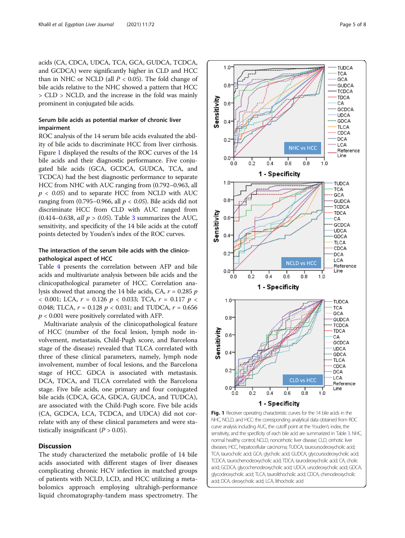acids (CA, CDCA, UDCA, TCA, GCA, GUDCA, TCDCA, and GCDCA) were significantly higher in CLD and HCC than in NHC or NCLD (all  $P < 0.05$ ). The fold change of bile acids relative to the NHC showed a pattern that HCC > CLD > NCLD, and the increase in the fold was mainly prominent in conjugated bile acids.

# Serum bile acids as potential marker of chronic liver impairment

ROC analysis of the 14 serum bile acids evaluated the ability of bile acids to discriminate HCC from liver cirrhosis. Figure 1 displayed the results of the ROC curves of the 14 bile acids and their diagnostic performance. Five conjugated bile acids (GCA, GCDCA, GUDCA, TCA, and TCDCA) had the best diagnostic performance to separate HCC from NHC with AUC ranging from (0.792–0.963, all  $p < 0.05$ ) and to separate HCC from NCLD with AUC ranging from (0.795–0.966, all  $p < 0.05$ ). Bile acids did not discriminate HCC from CLD with AUC ranged from (0.414–0.6[3](#page-5-0)8, all  $p > 0.05$ ). Table 3 summarizes the AUC, sensitivity, and specificity of the 14 bile acids at the cutoff points detected by Youden's index of the ROC curves.

# The interaction of the serum bile acids with the clinicopathological aspect of HCC

Table [4](#page-5-0) presents the correlation between AFP and bile acids and multivariate analysis between bile acids and the clinicopathological parameter of HCC. Correlation analysis showed that among the 14 bile acids, CA,  $r = 0.285$   $p$  $<$  0.001; LCA,  $r = 0.126$   $p < 0.033$ ; TCA,  $r = 0.117$   $p <$ 0.048; TLCA,  $r = 0.128$   $p < 0.031$ ; and TUDCA,  $r = 0.656$  $p < 0.001$  were positively correlated with AFP.

Multivariate analysis of the clinicopathological feature of HCC (number of the focal lesion, lymph node involvement, metastasis, Child-Pugh score, and Barcelona stage of the disease) revealed that TLCA correlated with three of these clinical parameters, namely, lymph node involvement, number of focal lesions, and the Barcelona stage of HCC. GDCA is associated with metastasis. DCA, TDCA, and TLCA correlated with the Barcelona stage. Five bile acids, one primary and four conjugated bile acids (CDCA, GCA, GDCA, GUDCA, and TUDCA), are associated with the Child-Pugh score. Five bile acids (CA, GCDCA, LCA, TCDCA, and UDCA) did not correlate with any of these clinical parameters and were statistically insignificant  $(P > 0.05)$ .

# **Discussion**

The study characterized the metabolic profile of 14 bile acids associated with different stages of liver diseases complicating chronic HCV infection in matched groups of patients with NCLD, LCD, and HCC utilizing a metabolomics approach employing ultrahigh-performance liquid chromatography-tandem mass spectrometry. The



TCA, taurocholic acid; GCA, glycholic acid; GUDCA, glycoursodeoxycholic acid; TCDCA, taurochenodeoxycholic acid; TDCA, taurodeoxycholic acid; CA, cholic acid; GCDCA, glycochenodeoxycholic acid; UDCA, ursodeoxycholic acid; GDCA, glycodeoxycholic acid; TLCA, taurolithocholic acid; CDCA, chenodeoxycholic acid; DCA, deoxycholic acid; LCA, lithocholic acid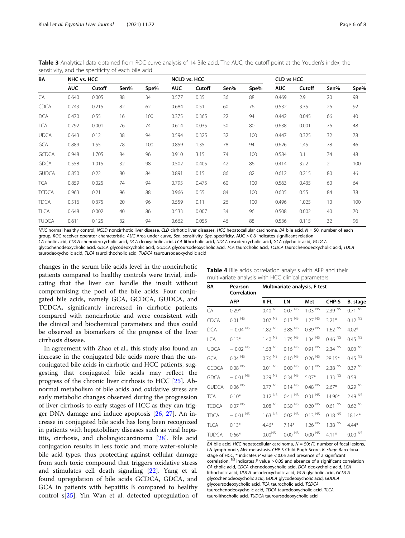<span id="page-5-0"></span>Table 3 Analytical data obtained from ROC curve analysis of 14 Bile acid. The AUC, the cutoff point at the Youden's index, the sensitivity, and the specificity of each bile acid

| BA           | NHC vs. HCC |        |      | <b>NCLD vs. HCC</b> |            |        | <b>CLD vs HCC</b> |      |            |        |      |      |
|--------------|-------------|--------|------|---------------------|------------|--------|-------------------|------|------------|--------|------|------|
|              | <b>AUC</b>  | Cutoff | Sen% | Spe%                | <b>AUC</b> | Cutoff | Sen%              | Spe% | <b>AUC</b> | Cutoff | Sen% | Spe% |
| CA           | 0.640       | 0.005  | 88   | 34                  | 0.577      | 0.35   | 36                | 88   | 0.469      | 2.9    | 20   | 98   |
| <b>CDCA</b>  | 0.743       | 0.215  | 82   | 62                  | 0.684      | 0.51   | 60                | 76   | 0.532      | 3.35   | 26   | 92   |
| <b>DCA</b>   | 0.470       | 0.55   | 16   | 100                 | 0.375      | 0.365  | 22                | 94   | 0.442      | 0.045  | 66   | 40   |
| LCA          | 0.792       | 0.001  | 76   | 74                  | 0.614      | 0.035  | 50                | 80   | 0.638      | 0.001  | 76   | 48   |
| <b>UDCA</b>  | 0.643       | 0.12   | 38   | 94                  | 0.594      | 0.325  | 32                | 100  | 0.447      | 0.325  | 32   | 78   |
| <b>GCA</b>   | 0.889       | 1.55   | 78   | 100                 | 0.859      | 1.35   | 78                | 94   | 0.626      | 1.45   | 78   | 46   |
| <b>GCDCA</b> | 0.948       | 1.705  | 84   | 96                  | 0.910      | 3.15   | 74                | 100  | 0.584      | 3.1    | 74   | 48   |
| <b>GDCA</b>  | 0.558       | 1.015  | 32   | 98                  | 0.502      | 0.405  | 42                | 86   | 0.414      | 32.2   | 2    | 100  |
| <b>GUDCA</b> | 0.850       | 0.22   | 80   | 84                  | 0.891      | 0.15   | 86                | 82   | 0.612      | 0.215  | 80   | 46   |
| <b>TCA</b>   | 0.859       | 0.025  | 74   | 94                  | 0.795      | 0.475  | 60                | 100  | 0.563      | 0.435  | 60   | 64   |
| <b>TCDCA</b> | 0.963       | 0.21   | 96   | 88                  | 0.966      | 0.55   | 84                | 100  | 0.635      | 0.55   | 84   | 38   |
| <b>TDCA</b>  | 0.516       | 0.375  | 20   | 96                  | 0.559      | 0.11   | 26                | 100  | 0.496      | 1.025  | 10   | 100  |
| <b>TLCA</b>  | 0.648       | 0.002  | 40   | 86                  | 0.533      | 0.007  | 34                | 96   | 0.508      | 0.002  | 40   | 70   |
| <b>TUDCA</b> | 0.611       | 0.125  | 32   | 94                  | 0.662      | 0.055  | 46                | 88   | 0.536      | 0.115  | 32   | 96   |

NHC normal healthy control, NCLD noncirrhotic liver disease, CLD cirrhotic liver diseases, HCC hepatocellular carcinoma, BA bile acid, N = 50, number of each group, ROC receiver operator characteristic, AUC Area under curve, Sen. sensitivity, Spe. specificity. AUC > 0.8 indicates significant relation CA cholic acid, CDCA chenodeoxycholic acid, DCA deoxycholic acid, LCA lithocholic acid, UDCA ursodeoxycholic acid, GCA glycholic acid, GCDCA

glycochenodeoxycholic acid, GDCA glycodeoxycholic acid, GUDCA glycoursodeoxycholic acid, TCA taurocholic acid, TCDCA taurochenodeoxycholic acid, TDCA taurodeoxycholic acid, TLCA taurolithocholic acid, TUDCA tauroursodeoxycholic acid

changes in the serum bile acids level in the noncirrhotic patients compared to healthy controls were trivial, indicating that the liver can handle the insult without compromising the pool of the bile acids. Four conjugated bile acids, namely GCA, GCDCA, GUDCA, and TCDCA, significantly increased in cirrhotic patients compared with noncirrhotic and were consistent with the clinical and biochemical parameters and thus could be observed as biomarkers of the progress of the liver cirrhosis disease.

In agreement with Zhao et al., this study also found an increase in the conjugated bile acids more than the unconjugated bile acids in cirrhotic and HCC patients, suggesting that conjugated bile acids may reflect the progress of the chronic liver cirrhosis to HCC [\[25](#page-7-0)]. Abnormal metabolism of bile acids and oxidative stress are early metabolic changes observed during the progression of liver cirrhosis to early stages of HCC as they can trigger DNA damage and induce apoptosis [\[26](#page-7-0), [27\]](#page-7-0). An increase in conjugated bile acids has long been recognized in patients with hepatobiliary diseases such as viral hepatitis, cirrhosis, and cholangiocarcinoma [[28\]](#page-7-0). Bile acid conjugation results in less toxic and more water-soluble bile acid types, thus protecting against cellular damage from such toxic compound that triggers oxidative stress and stimulates cell death signaling [[22](#page-7-0)]. Yang et al. found upregulation of bile acids GCDCA, GDCA, and GCA in patients with hepatitis B compared to healthy control s[[25\]](#page-7-0). Yin Wan et al. detected upregulation of

| ΒA           | Pearson<br>Correlation | Multivariate analysis, F test |                      |                      |                      |                      |  |  |
|--------------|------------------------|-------------------------------|----------------------|----------------------|----------------------|----------------------|--|--|
|              | <b>AFP</b>             | #FL                           | LN                   | Met                  | CHP-S                | B. stage             |  |  |
| CA           | $0.29*$                | $0.40^{N5}$                   | $0.07 N^{5}$         | $1.03^{N5}$          | 2.39 NS              | $0.71^{N5}$          |  |  |
| <b>CDCA</b>  | $0.01$ NS              | $0.07$ NS                     | $0.13^{N5}$          | 1.27 <sup>NS</sup>   | $3.21*$              | $0.12^{N5}$          |  |  |
| <b>DCA</b>   | $-0.04$ NS             | $1.82$ NS                     | 3.88 NS              | 0.39 <sup>NS</sup>   | $1.62$ <sup>NS</sup> | $4.02*$              |  |  |
| LCA          | $0.13*$                | 1.40 <sup>NS</sup>            | $1.75$ NS            | $1.34$ NS            | $0.46$ <sup>NS</sup> | $0.45$ <sup>NS</sup> |  |  |
| <b>UDCA</b>  | $-0.02$ NS             | $1.53$ NS                     | $0.16$ NS            | $0.91^{N5}$          | $2.34$ NS            | $0.03$ NS            |  |  |
| <b>GCA</b>   | $0.04$ NS              | $0.76$ <sup>NS</sup>          | 0.10 <sup>NS</sup>   | $0.26$ <sup>NS</sup> | 28.15*               | $0.45$ <sup>NS</sup> |  |  |
| <b>GCDCA</b> | $0.08$ <sup>NS</sup>   | $0.01$ NS                     | 0.00 <sup>NS</sup>   | $0.11^{N5}$          | $2.38$ <sup>NS</sup> | $0.37$ <sup>NS</sup> |  |  |
| <b>GDCA</b>  | $-0.01$ NS             | $0.29$ NS                     | $0.34$ NS            | $5.07*$              | $1.33$ NS            | 0.58                 |  |  |
| <b>GUDCA</b> | $0.06$ <sup>NS</sup>   | $0.77$ <sup>NS</sup>          | $0.14$ NS            | $0.48$ NS            | $2.67*$              | 0.29 <sup>NS</sup>   |  |  |
| TCA          | $0.10*$                | $0.12^{N5}$                   | $0.41$ NS            | $0.31$ NS            | 14.90*               | 2.49 NS              |  |  |
| <b>TCDCA</b> | $0.07$ <sup>NS</sup>   | $0.08$ NS                     | 0.30 <sup>NS</sup>   | 0.20 <sup>NS</sup>   | $0.61$ NS            | $0.62$ <sup>NS</sup> |  |  |
| <b>TDCA</b>  | $-0.01$ NS             | $1.63$ <sup>NS</sup>          | $0.02$ <sup>NS</sup> | $0.13$ <sup>NS</sup> | $0.18$ <sup>NS</sup> | 18.14*               |  |  |
| <b>TLCA</b>  | $0.13*$                | $4.46*$                       | $7.14*$              | $1.26$ <sup>NS</sup> | $1.38$ <sup>NS</sup> | $4.44*$              |  |  |
| <b>TUDCA</b> | $0.66*$                | $0.00^{NS}$                   | $0.00$ NS            | $0.00$ NS            | $4.11*$              | $0.00$ NS            |  |  |

BA bile acid, HCC hepatocellular carcinoma,  $N = 50$ ; FL number of focal lesions, LN lymph node, Met metastasis, CHP-S Child-Pugh Score, B. stage Barcelona stage of HCC, \* indicates P value < 0.05 and presence of a significant<br>correlation. <sup>NS</sup> indicates P value > 0.05 and absence of a significant correlation<br>C4 cholic acid CDC4 chanodeovicholic acid DC4 deoxicholic acid JC4 CA cholic acid, CDCA chenodeoxycholic acid, DCA deoxycholic acid, LCA lithocholic acid, UDCA ursodeoxycholic acid, GCA glycholic acid, GCDCA glycochenodeoxycholic acid, GDCA glycodeoxycholic acid, GUDCA glycoursodeoxycholic acid, TCA taurocholic acid, TCDCA taurochenodeoxycholic acid, TDCA taurodeoxycholic acid, TLCA taurolithocholic acid, TUDCA tauroursodeoxycholic acid

| Table 4 Bile acids correlation analysis with AFP and their |  |  |  |
|------------------------------------------------------------|--|--|--|
| multivariate analysis with HCC clinical parameters         |  |  |  |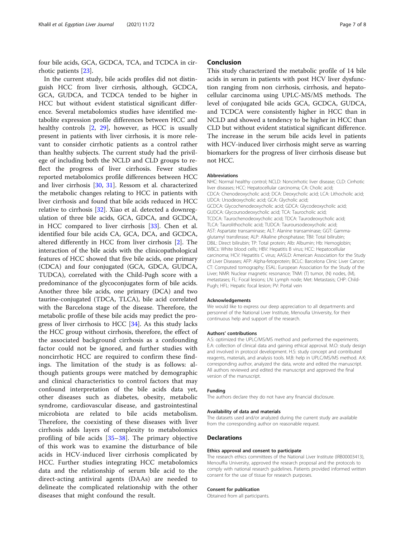four bile acids, GCA, GCDCA, TCA, and TCDCA in cirrhotic patients [\[23\]](#page-7-0).

In the current study, bile acids profiles did not distinguish HCC from liver cirrhosis, although, GCDCA, GCA, GUDCA, and TCDCA tended to be higher in HCC but without evident statistical significant difference. Several metabolomics studies have identified metabolite expression profile differences between HCC and healthy controls [\[2,](#page-7-0) [29\]](#page-7-0), however, as HCC is usually present in patients with liver cirrhosis, it is more relevant to consider cirrhotic patients as a control rather than healthy subjects. The current study had the privilege of including both the NCLD and CLD groups to reflect the progress of liver cirrhosis. Fewer studies reported metabolomics profile differences between HCC and liver cirrhosis [\[30,](#page-7-0) [31](#page-7-0)]. Ressom et al. characterized the metabolic changes relating to HCC in patients with liver cirrhosis and found that bile acids reduced in HCC relative to cirrhosis [[32](#page-7-0)]. Xiao et al. detected a downregulation of three bile acids, GCA, GDCA, and GCDCA, in HCC compared to liver cirrhosis [\[33](#page-7-0)]. Chen et al. identified four bile acids CA, GCA, DCA, and GCDCA, altered differently in HCC from liver cirrhosis [[2\]](#page-7-0). The interaction of the bile acids with the clinicopathological features of HCC showed that five bile acids, one primary (CDCA) and four conjugated (GCA, GDCA, GUDCA, TUDCA), correlated with the Child-Pugh score with a predominance of the glycoconjugates form of bile acids. Another three bile acids, one primary (DCA) and two taurine-conjugated (TDCA, TLCA), bile acid correlated with the Barcelona stage of the disease. Therefore, the metabolic profile of these bile acids may predict the progress of liver cirrhosis to HCC [[34\]](#page-7-0). As this study lacks the HCC group without cirrhosis, therefore, the effect of the associated background cirrhosis as a confounding factor could not be ignored, and further studies with noncirrhotic HCC are required to confirm these findings. The limitation of the study is as follows: although patients groups were matched by demographic and clinical characteristics to control factors that may confound interpretation of the bile acids data yet, other diseases such as diabetes, obesity, metabolic syndrome, cardiovascular disease, and gastrointestinal microbiota are related to bile acids metabolism. Therefore, the coexisting of these diseases with liver cirrhosis adds layers of complexity to metabolomics profiling of bile acids [[35](#page-7-0)–[38\]](#page-7-0). The primary objective of this work was to examine the disturbance of bile acids in HCV-induced liver cirrhosis complicated by HCC. Further studies integrating HCC metabolomics data and the relationship of serum bile acid to the direct-acting antiviral agents (DAAs) are needed to delineate the complicated relationship with the other diseases that might confound the result.

# Conclusion

This study characterized the metabolic profile of 14 bile acids in serum in patients with post HCV liver dysfunction ranging from non cirrhosis, cirrhosis, and hepatocellular carcinoma using UPLC-MS/MS methods. The level of conjugated bile acids GCA, GCDCA, GUDCA, and TCDCA were consistently higher in HCC than in NCLD and showed a tendency to be higher in HCC than CLD but without evident statistical significant difference. The increase in the serum bile acids level in patients with HCV-induced liver cirrhosis might serve as warring biomarkers for the progress of liver cirrhosis disease but not HCC.

#### Abbreviations

NHC: Normal healthy control; NCLD: Noncirrhotic liver disease; CLD: Cirrhotic liver diseases; HCC: Hepatocellular carcinoma; CA: Cholic acid; CDCA: Chenodeoxycholic acid; DCA: Deoxycholic acid; LCA: Lithocholic acid; UDCA: Ursodeoxycholic acid; GCA: Glycholic acid; GCDCA: Glycochenodeoxycholic acid; GDCA: Glycodeoxycholic acid; GUDCA: Glycoursodeoxycholic acid; TCA: Taurocholic acid; TCDCA: Taurochenodeoxycholic acid; TDCA: Taurodeoxycholic acid; TLCA: Taurolithocholic acid; TUDCA: Tauroursodeoxycholic acid; AST: Aspartate transaminase; ALT: Alanine transaminase; GGT: Gammaglutamyl transferase; ALP: Alkaline phosphatase; TBil: Total bilirubin; DBiL: Direct bilirubin; TP: Total protein; Alb: Albumin; Hb: Hemoglobin; WBCs: White blood cells; HBV: Hepatitis B virus; HCC: Hepatocellular carcinoma; HCV: Hepatitis C virus; AASLD: American Association for the Study of Liver Diseases; AFP: Alpha-fetoprotein; BCLC: Barcelona Clinic Liver Cancer; CT: Computed tomography; ESAL: European Association for the Study of the Liver; NMR: Nuclear magnetic resonance; TNM: (T) tumor, (N) nodes, (M), metastases; FL: Focal lesions; LN: Lymph node; Met: Metastasis; CHP: Child-Pugh; HFL: Hepatic focal lesion; PV: Portal vein

#### Acknowledgements

We would like to express our deep appreciation to all departments and personnel of the National Liver Institute, Menoufia University, for their continuous help and support of the research.

#### Authors' contributions

A.S: optimized the UPLC/MS/MS method and performed the experiments. E.A: collection of clinical data and gaining ethical approval. M.O: study design and involved in protocol development. H.S: study concept and contributed reagents, materials, and analysis tools. M.B: help in UPLC/MS/MS method. A.K: corresponding author, analyzed the data, wrote and edited the manuscript. All authors reviewed and edited the manuscript and approved the final version of the manuscript.

## Funding

The authors declare they do not have any financial disclosure.

#### Availability of data and materials

The datasets used and/or analyzed during the current study are available from the corresponding author on reasonable request.

#### Declarations

#### Ethics approval and consent to participate

The research ethics committees of the National Liver Institute (IRB00003413), Menouffia University, approved the research proposal and the protocols to comply with national research guidelines. Patients provided informed written consent for the use of tissue for research purposes.

### Consent for publication

Obtained from all participants.